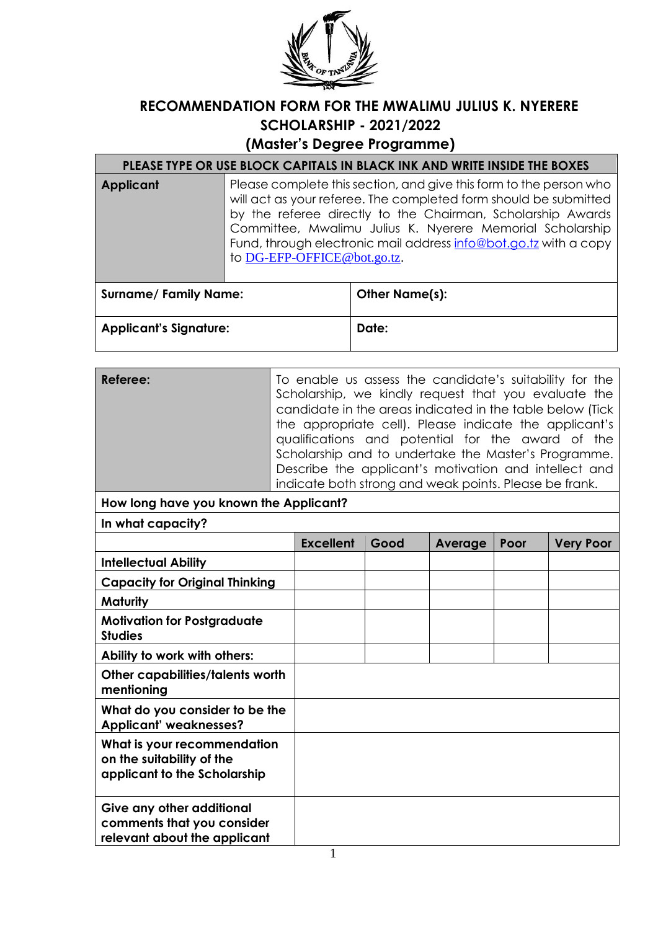

## **RECOMMENDATION FORM FOR THE MWALIMU JULIUS K. NYERERE SCHOLARSHIP - 2021/2022**

**(Master's Degree Programme)** 

## **PLEASE TYPE OR USE BLOCK CAPITALS IN BLACK INK AND WRITE INSIDE THE BOXES**

**Applicant** Please complete this section, and give this form to the person who will act as your referee. The completed form should be submitted by the referee directly to the Chairman, Scholarship Awards Committee, Mwalimu Julius K. Nyerere Memorial Scholarship Fund, through electronic mail address info@bot.go.tz with a copy to DG-EFP-OFFICE@bot.go.tz.

| <b>Surname/Family Name:</b>   | Other Name(s): |
|-------------------------------|----------------|
| <b>Applicant's Signature:</b> | Date:          |

| Referee:                                                                                 | To enable us assess the candidate's suitability for the<br>Scholarship, we kindly request that you evaluate the<br>candidate in the areas indicated in the table below (Tick<br>the appropriate cell). Please indicate the applicant's<br>qualifications and potential for the award of the<br>Scholarship and to undertake the Master's Programme.<br>Describe the applicant's motivation and intellect and<br>indicate both strong and weak points. Please be frank. |                  |      |         |      |                  |
|------------------------------------------------------------------------------------------|------------------------------------------------------------------------------------------------------------------------------------------------------------------------------------------------------------------------------------------------------------------------------------------------------------------------------------------------------------------------------------------------------------------------------------------------------------------------|------------------|------|---------|------|------------------|
| How long have you known the Applicant?                                                   |                                                                                                                                                                                                                                                                                                                                                                                                                                                                        |                  |      |         |      |                  |
| In what capacity?                                                                        |                                                                                                                                                                                                                                                                                                                                                                                                                                                                        |                  |      |         |      |                  |
|                                                                                          |                                                                                                                                                                                                                                                                                                                                                                                                                                                                        | <b>Excellent</b> | Good | Average | Poor | <b>Very Poor</b> |
| <b>Intellectual Ability</b>                                                              |                                                                                                                                                                                                                                                                                                                                                                                                                                                                        |                  |      |         |      |                  |
| <b>Capacity for Original Thinking</b>                                                    |                                                                                                                                                                                                                                                                                                                                                                                                                                                                        |                  |      |         |      |                  |
| Maturity                                                                                 |                                                                                                                                                                                                                                                                                                                                                                                                                                                                        |                  |      |         |      |                  |
| <b>Motivation for Postgraduate</b><br><b>Studies</b>                                     |                                                                                                                                                                                                                                                                                                                                                                                                                                                                        |                  |      |         |      |                  |
| Ability to work with others:                                                             |                                                                                                                                                                                                                                                                                                                                                                                                                                                                        |                  |      |         |      |                  |
| Other capabilities/talents worth<br>mentioning                                           |                                                                                                                                                                                                                                                                                                                                                                                                                                                                        |                  |      |         |      |                  |
| What do you consider to be the<br><b>Applicant' weaknesses?</b>                          |                                                                                                                                                                                                                                                                                                                                                                                                                                                                        |                  |      |         |      |                  |
| What is your recommendation<br>on the suitability of the<br>applicant to the Scholarship |                                                                                                                                                                                                                                                                                                                                                                                                                                                                        |                  |      |         |      |                  |
| Give any other additional<br>comments that you consider<br>relevant about the applicant  |                                                                                                                                                                                                                                                                                                                                                                                                                                                                        |                  |      |         |      |                  |